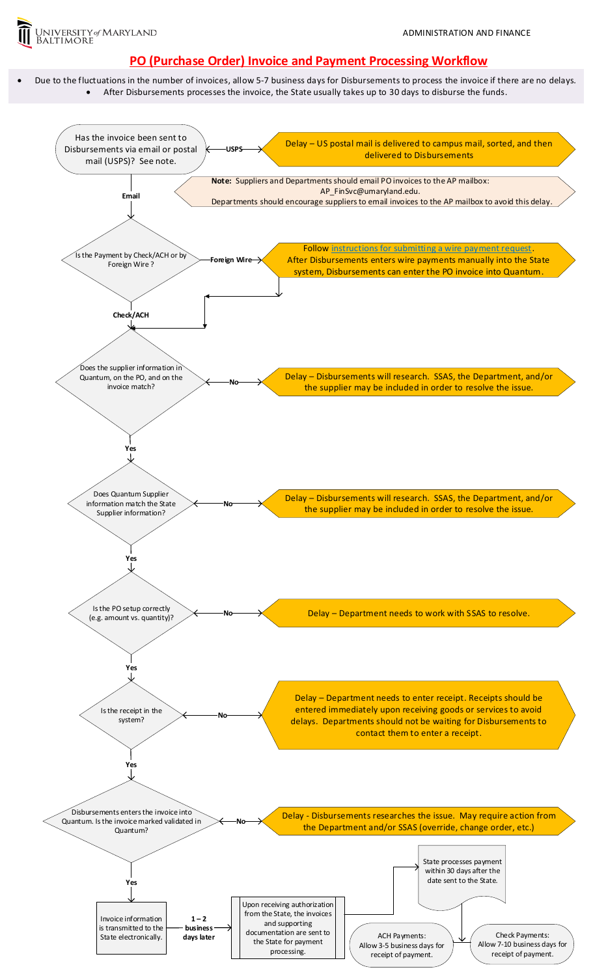

## **PO (Purchase Order) Invoice and Payment Processing Workflow**

 Due to the fluctuations in the number of invoices, allow 5-7 business days for Disbursements to process the invoice if there are no delays. After Disbursements processes the invoice, the State usually takes up to 30 days to disburse the funds.